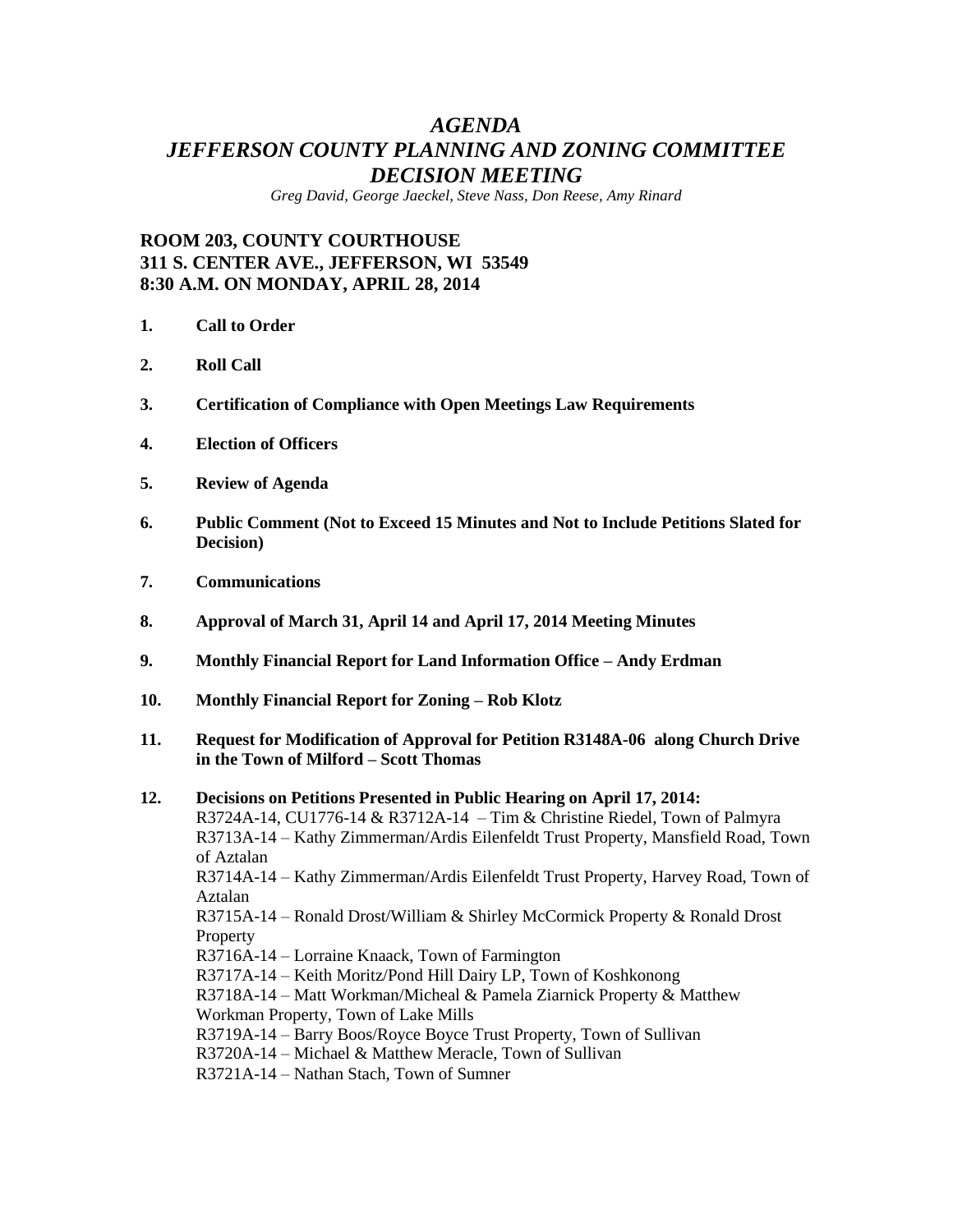# *AGENDA JEFFERSON COUNTY PLANNING AND ZONING COMMITTEE DECISION MEETING*

*Greg David, George Jaeckel, Steve Nass, Don Reese, Amy Rinard*

## **ROOM 203, COUNTY COURTHOUSE 311 S. CENTER AVE., JEFFERSON, WI 53549 8:30 A.M. ON MONDAY, APRIL 28, 2014**

- **1. Call to Order**
- **2. Roll Call**
- **3. Certification of Compliance with Open Meetings Law Requirements**
- **4. Election of Officers**
- **5. Review of Agenda**
- **6. Public Comment (Not to Exceed 15 Minutes and Not to Include Petitions Slated for Decision)**
- **7. Communications**
- **8. Approval of March 31, April 14 and April 17, 2014 Meeting Minutes**
- **9. Monthly Financial Report for Land Information Office – Andy Erdman**
- **10. Monthly Financial Report for Zoning – Rob Klotz**
- **11. Request for Modification of Approval for Petition R3148A-06 along Church Drive in the Town of Milford – Scott Thomas**

**12. Decisions on Petitions Presented in Public Hearing on April 17, 2014:** R3724A-14, CU1776-14 & R3712A-14 – Tim & Christine Riedel, Town of Palmyra R3713A-14 – Kathy Zimmerman/Ardis Eilenfeldt Trust Property, Mansfield Road, Town of Aztalan R3714A-14 – Kathy Zimmerman/Ardis Eilenfeldt Trust Property, Harvey Road, Town of Aztalan R3715A-14 – Ronald Drost/William & Shirley McCormick Property & Ronald Drost **Property** R3716A-14 – Lorraine Knaack, Town of Farmington R3717A-14 – Keith Moritz/Pond Hill Dairy LP, Town of Koshkonong R3718A-14 – Matt Workman/Micheal & Pamela Ziarnick Property & Matthew Workman Property, Town of Lake Mills R3719A-14 – Barry Boos/Royce Boyce Trust Property, Town of Sullivan R3720A-14 – Michael & Matthew Meracle, Town of Sullivan R3721A-14 – Nathan Stach, Town of Sumner